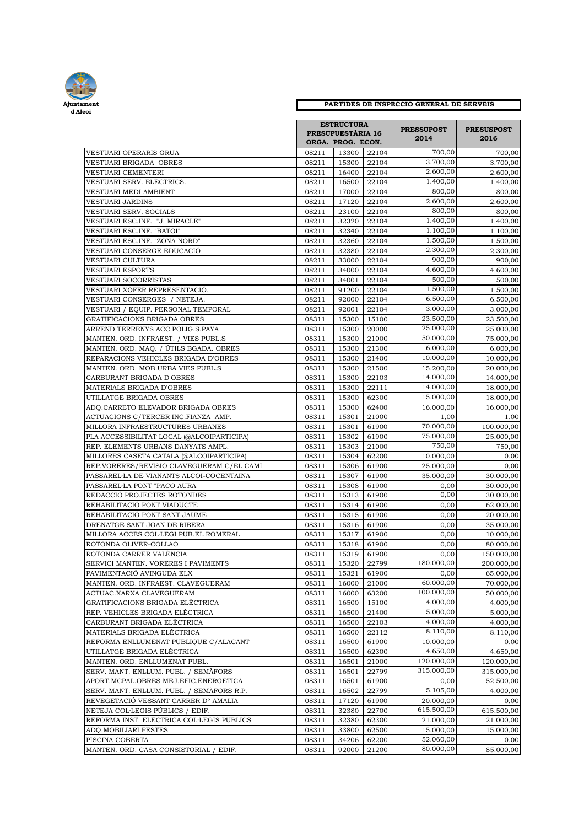

## **Ajuntament PARTIDES DE INSPECCIÓ GENERAL DE SERVEIS**

| VESTUARI OPERARIS GRUA                                                   |                | <b>ESTRUCTURA</b><br><b>PRESUPUESTÀRIA 16</b><br>ORGA. PROG. ECON. |                | <b>PRESSUPOST</b><br>2014<br>700,00 | <b>PRESUSPOST</b><br>2016<br>700,00 |
|--------------------------------------------------------------------------|----------------|--------------------------------------------------------------------|----------------|-------------------------------------|-------------------------------------|
|                                                                          | 08211          | 13300                                                              | 22104          |                                     |                                     |
| VESTUARI BRIGADA  OBRES                                                  | 08211          | 15300                                                              | 22104          | 3.700,00                            | 3.700,00                            |
| VESTUARI CEMENTERI                                                       | 08211          | 16400                                                              | 22104          | 2.600,00                            | 2.600,00                            |
| VESTUARI SERV. ELÈCTRICS.                                                | 08211          | 16500                                                              | 22104          | 1.400,00                            | 1.400,00                            |
| VESTUARI MEDI AMBIENT                                                    | 08211          | 17000                                                              | 22104          | 800,00                              | 800,00                              |
| VESTUARI JARDINS                                                         | 08211          | 17120                                                              | 22104          | 2.600,00                            | 2.600,00                            |
| VESTUARI SERV. SOCIALS                                                   | 08211          | 23100                                                              | 22104          | 800,00                              | 800,00                              |
| VESTUARI ESC.INF. "J. MIRACLE"                                           | 08211          | 32320                                                              | 22104          | 1.400,00                            | 1.400,00                            |
| VESTUARI ESC.INF. "BATOI"                                                | 08211          | 32340                                                              | 22104          | 1.100,00                            | 1.100,00                            |
| VESTUARI ESC.INF. "ZONA NORD"                                            | 08211          | 32360                                                              | 22104          | 1.500,00                            | 1.500,00                            |
| VESTUARI CONSERGE EDUCACIÓ                                               | 08211          | 32380                                                              | 22104          | 2.300,00                            | 2.300,00                            |
| VESTUARI CULTURA                                                         | 08211          | 33000                                                              | 22104          | 900,00                              | 900,00                              |
| VESTUARI ESPORTS                                                         | 08211          | 34000                                                              | 22104          | 4.600,00                            | 4.600,00                            |
| VESTUARI SOCORRISTAS                                                     | 08211          | 34001                                                              | 22104          | 500,00                              | 500,00                              |
| VESTUARI XÒFER REPRESENTACIÓ.                                            | 08211          | 91200                                                              | 22104          | 1.500,00                            | 1.500,00                            |
| VESTUARI CONSERGES / NETEJA.                                             | 08211          | 92000                                                              | 22104          | 6.500,00                            | 6.500,00                            |
| VESTUARI / EQUIP. PERSONAL TEMPORAL                                      | 08211          | 92001                                                              | 22104          | 3.000,00                            | 3.000,00                            |
| GRATIFICACIONS BRIGADA OBRES                                             | 08311          | 15300                                                              | 15100          | 23.500,00                           | 23.500,00                           |
| ARREND.TERRENYS ACC.POLIG.S.PAYA                                         | 08311          | 15300                                                              | 20000          | 25.000,00                           | 25.000,00                           |
| MANTEN. ORD. INFRAEST. / VIES PUBL.S                                     | 08311          | 15300                                                              | 21000          | 50.000,00                           | 75.000,00                           |
| MANTEN. ORD. MAQ. / ÚTILS BGADA. OBRES                                   | 08311          | 15300                                                              | 21300          | 6.000,00                            | 6.000,00                            |
| REPARACIONS VEHICLES BRIGADA D'OBRES                                     | 08311          | 15300                                                              | 21400          | 10.000,00                           | 10.000,00                           |
| MANTEN. ORD. MOB.URBA VIES PUBL.S                                        | 08311          | 15300                                                              | 21500          | 15.200,00                           | 20.000,00                           |
| CARBURANT BRIGADA D'OBRES                                                | 08311          | 15300                                                              | 22103          | 14.000,00                           | 14.000,00                           |
| MATERIALS BRIGADA D'OBRES                                                | 08311          | 15300                                                              | 22111          | 14.000,00                           | 18.000,00                           |
| UTILLATGE BRIGADA OBRES                                                  | 08311          | 15300                                                              | 62300          | 15.000,00                           | 18.000,00                           |
| ADQ.CARRETO ELEVADOR BRIGADA OBRES                                       | 08311          | 15300                                                              | 62400          | 16.000,00                           | 16.000,00                           |
| ACTUACIONS C/TERCER INC.FIANZA AMP.                                      | 08311          | 15301                                                              | 21000          | 1,00                                | 1,00                                |
| MILLORA INFRAESTRUCTURES URBANES                                         | 08311          | 15301                                                              | 61900          | 70.000,00                           | 100.000,00                          |
| PLA ACCESSIBILITAT LOCAL (@ALCOIPARTICIPA)                               | 08311          | 15302                                                              | 61900          | 75.000,00                           | 25.000,00                           |
| REP. ELEMENTS URBANS DANYATS AMPL.                                       | 08311          | 15303                                                              | 21000          | 750,00                              | 750,00                              |
| MILLORES CASETA CATALA (@ALCOIPARTICIPA)                                 | 08311          | 15304                                                              | 62200          | 10.000,00                           | 0,00                                |
| REP.VORERES/REVISIÓ CLAVEGUERAM C/EL CAMI                                | 08311          | 15306                                                              | 61900          | 25.000,00                           | 0,00                                |
| PASSAREL·LA DE VIANANTS ALCOI-COCENTAINA                                 | 08311          | 15307                                                              | 61900          | 35.000,00                           | 30.000,00                           |
| PASSAREL·LA PONT "PACO AURA"                                             | 08311          | 15308                                                              | 61900          | 0,00                                | 30.000,00                           |
| REDACCIÓ PROJECTES ROTONDES                                              | 08311          | 15313                                                              | 61900          | 0,00                                | 30.000,00                           |
| REHABILITACIÓ PONT VIADUCTE                                              | 08311          | 15314                                                              | 61900          | 0,00                                | 62.000,00                           |
| REHABILITACIÓ PONT SANT JAUME                                            | 08311          | 15315                                                              | 61900          | 0,00                                | 20.000,00                           |
| DRENATGE SANT JOAN DE RIBERA                                             | 08311          | 15316                                                              | 61900          | 0,00                                | 35.000,00                           |
| MILLORA ACCÉS COL·LEGI PUB.EL ROMERAL                                    | 08311          | 15317                                                              | 61900          | 0,00                                | 10.000,00                           |
| ROTONDA OLIVER-COLLAO                                                    | 08311          | 15318                                                              | 61900          | 0,00                                | 80.000,00                           |
| ROTONDA CARRER VALÈNCIA                                                  | 08311          |                                                                    | 15319 61900    | 0,00                                | 150.000,00                          |
| SERVICI MANTEN. VORERES I PAVIMENTS                                      | 08311          | 15320                                                              | 22799          | 180.000,00                          | 200.000,00                          |
| PAVIMENTACIÓ AVINGUDA ELX                                                | 08311          | 15321                                                              | 61900          | 0,00<br>60.000,00                   | 65.000,00                           |
| MANTEN. ORD. INFRAEST. CLAVEGUERAM                                       | 08311          | 16000                                                              | 21000          |                                     | 70.000,00                           |
| ACTUAC.XARXA CLAVEGUERAM                                                 | 08311          | 16000                                                              | 63200          | 100.000,00<br>4.000,00              | 50.000,00                           |
| GRATIFICACIONS BRIGADA ELÉCTRICA                                         | 08311          | 16500                                                              | 15100          | 5.000,00                            | 4.000,00                            |
| REP. VEHICLES BRIGADA ELÈCTRICA                                          | 08311          | 16500                                                              | 21400          | 4.000,00                            | 5.000,00                            |
| CARBURANT BRIGADA ELÈCTRICA                                              | 08311          | 16500                                                              | 22103          | 8.110,00                            | 4.000,00                            |
| MATERIALS BRIGADA ELÈCTRICA                                              | 08311<br>08311 | 16500                                                              | 22112          |                                     | 8.110,00                            |
| REFORMA ENLLUMENAT PUBLIQUE C/ALACANT                                    | 08311          | 16500                                                              | 61900          | 10.000,00<br>4.650,00               | 0,00                                |
| UTILLATGE BRIGADA ELÈCTRICA                                              |                | 16500                                                              | 62300          | 120.000,00                          | 4.650,00                            |
| MANTEN. ORD. ENLLUMENAT PUBL.                                            | 08311<br>08311 | 16501<br>16501                                                     | 21000<br>22799 | 315.000,00                          | 120.000,00<br>315.000,00            |
| SERV. MANT. ENLLUM. PUBL. / SEMÀFORS                                     |                |                                                                    |                |                                     |                                     |
| APORT.MCPAL.OBRES MEJ.EFIC.ENERGÈTICA                                    | 08311          | 16501                                                              | 61900          | 0,00<br>5.105,00                    | 52.500,00                           |
| SERV. MANT. ENLLUM. PUBL. / SEMÀFORS R.P.                                | 08311          | 16502                                                              | 22799          |                                     | 4.000,00                            |
| REVEGETACIÓ VESSANT CARRER Dº AMALIA<br>NETEJA COL·LEGIS PÚBLICS / EDIF. | 08311<br>08311 | 17120<br>32380                                                     | 61900<br>22700 | 20.000,00<br>615.500,00             | 0,00<br>615.500,00                  |
| REFORMA INST. ELÈCTRICA COL·LEGIS PÚBLICS                                | 08311          | 32380                                                              | 62300          | 21.000,00                           | 21.000,00                           |
| ADQ.MOBILIARI FESTES                                                     | 08311          | 33800                                                              | 62500          | 15.000,00                           | 15.000,00                           |
| PISCINA COBERTA                                                          | 08311          | 34206                                                              | 62200          | 52.060,00                           | 0,00                                |
| MANTEN. ORD. CASA CONSISTORIAL / EDIF.                                   | 08311          | 92000                                                              | 21200          | 80.000,00                           | 85.000,00                           |
|                                                                          |                |                                                                    |                |                                     |                                     |